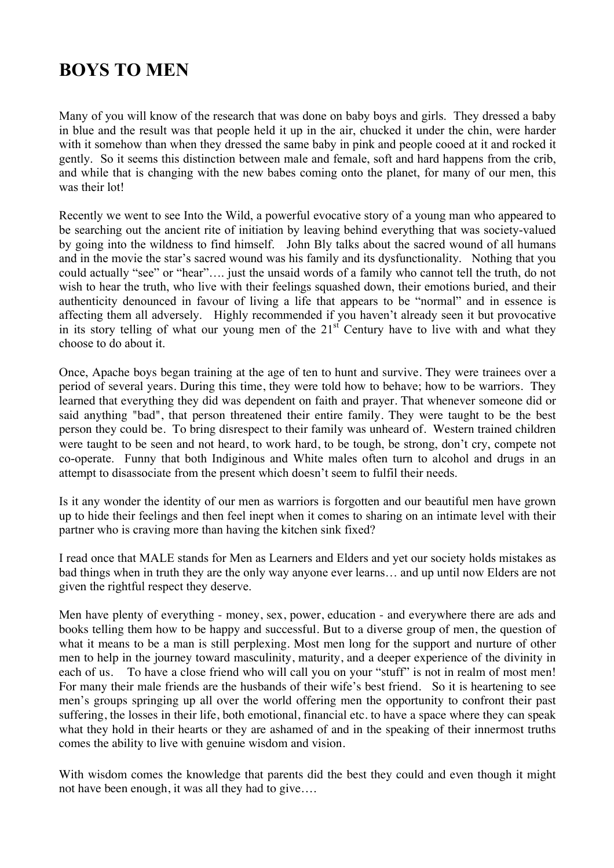## **BOYS TO MEN**

Many of you will know of the research that was done on baby boys and girls. They dressed a baby in blue and the result was that people held it up in the air, chucked it under the chin, were harder with it somehow than when they dressed the same baby in pink and people cooed at it and rocked it gently. So it seems this distinction between male and female, soft and hard happens from the crib, and while that is changing with the new babes coming onto the planet, for many of our men, this was their lot!

Recently we went to see Into the Wild, a powerful evocative story of a young man who appeared to be searching out the ancient rite of initiation by leaving behind everything that was society-valued by going into the wildness to find himself. John Bly talks about the sacred wound of all humans and in the movie the star's sacred wound was his family and its dysfunctionality. Nothing that you could actually "see" or "hear"…. just the unsaid words of a family who cannot tell the truth, do not wish to hear the truth, who live with their feelings squashed down, their emotions buried, and their authenticity denounced in favour of living a life that appears to be "normal" and in essence is affecting them all adversely. Highly recommended if you haven't already seen it but provocative in its story telling of what our young men of the  $21<sup>st</sup>$  Century have to live with and what they choose to do about it.

Once, Apache boys began training at the age of ten to hunt and survive. They were trainees over a period of several years. During this time, they were told how to behave; how to be warriors. They learned that everything they did was dependent on faith and prayer. That whenever someone did or said anything "bad", that person threatened their entire family. They were taught to be the best person they could be. To bring disrespect to their family was unheard of. Western trained children were taught to be seen and not heard, to work hard, to be tough, be strong, don't cry, compete not co-operate. Funny that both Indiginous and White males often turn to alcohol and drugs in an attempt to disassociate from the present which doesn't seem to fulfil their needs.

Is it any wonder the identity of our men as warriors is forgotten and our beautiful men have grown up to hide their feelings and then feel inept when it comes to sharing on an intimate level with their partner who is craving more than having the kitchen sink fixed?

I read once that MALE stands for Men as Learners and Elders and yet our society holds mistakes as bad things when in truth they are the only way anyone ever learns… and up until now Elders are not given the rightful respect they deserve.

Men have plenty of everything - money, sex, power, education - and everywhere there are ads and books telling them how to be happy and successful. But to a diverse group of men, the question of what it means to be a man is still perplexing. Most men long for the support and nurture of other men to help in the journey toward masculinity, maturity, and a deeper experience of the divinity in each of us. To have a close friend who will call you on your "stuff" is not in realm of most men! For many their male friends are the husbands of their wife's best friend. So it is heartening to see men's groups springing up all over the world offering men the opportunity to confront their past suffering, the losses in their life, both emotional, financial etc. to have a space where they can speak what they hold in their hearts or they are ashamed of and in the speaking of their innermost truths comes the ability to live with genuine wisdom and vision.

With wisdom comes the knowledge that parents did the best they could and even though it might not have been enough, it was all they had to give….